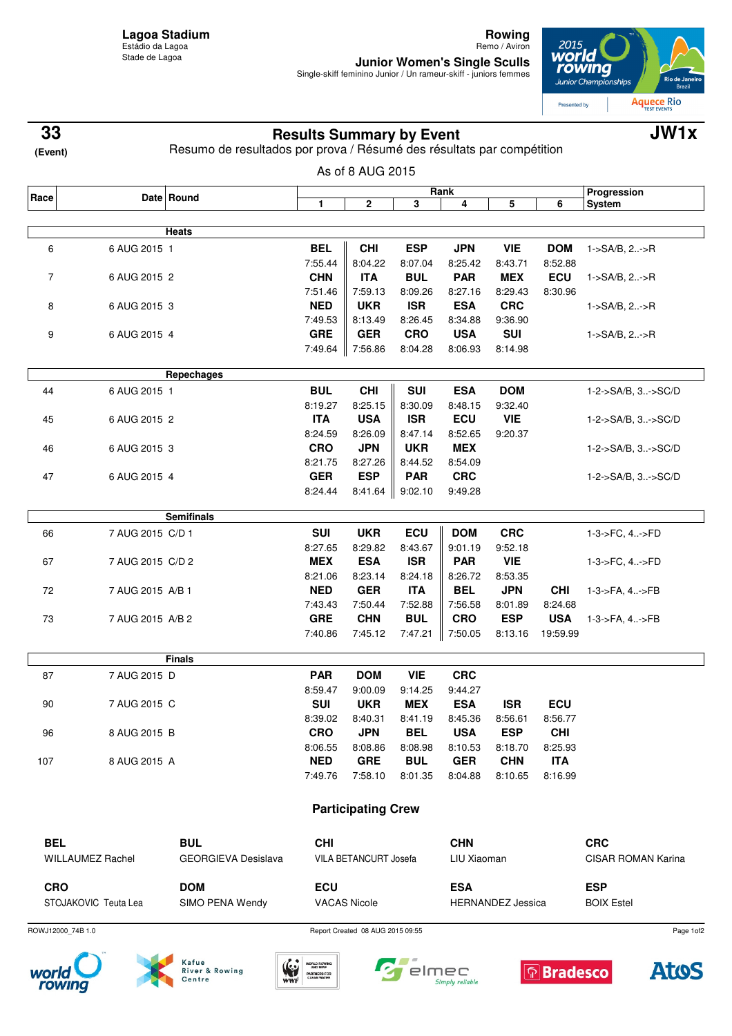**Rowing** Remo / Aviron

**Junior Women's Single Sculls**<br>Single-skiff feminino Junior / Un rameur-skiff - juniors femmes



| (Event) |  |
|---------|--|

## **Results Summary by Event 33 JW1x**

Resumo de resultados por prova / Résumé des résultats par compétition

|            | Date Round       |                   |            |                                 |                         | Rank            |            |            | Progression        |
|------------|------------------|-------------------|------------|---------------------------------|-------------------------|-----------------|------------|------------|--------------------|
| Race       |                  |                   | 1          | $\mathbf 2$                     | $\overline{\mathbf{3}}$ | 4               | 5          | 6          | <b>System</b>      |
|            |                  | <b>Heats</b>      |            |                                 |                         |                 |            |            |                    |
| 6          | 6 AUG 2015 1     |                   | <b>BEL</b> | <b>CHI</b>                      | <b>ESP</b>              | <b>JPN</b>      | <b>VIE</b> | <b>DOM</b> | 1->SA/B, 2->R      |
|            |                  |                   | 7:55.44    | 8:04.22                         | 8:07.04                 | 8:25.42         | 8:43.71    | 8:52.88    |                    |
| 7          | 6 AUG 2015 2     |                   | <b>CHN</b> | <b>ITA</b>                      | <b>BUL</b>              | <b>PAR</b>      | <b>MEX</b> | ECU        | 1->SA/B, 2->R      |
|            |                  |                   | 7:51.46    | 7:59.13                         | 8:09.26                 | 8:27.16         | 8:29.43    | 8:30.96    |                    |
| 8          | 6 AUG 2015 3     |                   | <b>NED</b> | <b>UKR</b>                      | <b>ISR</b>              | <b>ESA</b>      | <b>CRC</b> |            | 1->SA/B, 2->R      |
|            |                  |                   | 7:49.53    | 8:13.49                         | 8:26.45                 | 8:34.88         | 9:36.90    |            |                    |
| 9          | 6 AUG 2015 4     |                   | <b>GRE</b> | <b>GER</b>                      | <b>CRO</b>              | <b>USA</b>      | <b>SUI</b> |            | 1->SA/B, 2->R      |
|            |                  |                   | 7:49.64    | 7:56.86                         | 8:04.28                 | 8:06.93         | 8:14.98    |            |                    |
|            |                  | Repechages        |            |                                 |                         |                 |            |            |                    |
| 44         | 6 AUG 2015 1     |                   | <b>BUL</b> | <b>CHI</b>                      | <b>SUI</b>              | <b>ESA</b>      | <b>DOM</b> |            | 1-2->SA/B, 3->SC/D |
|            |                  |                   | 8:19.27    | 8:25.15                         | 8:30.09                 | 8:48.15         | 9:32.40    |            |                    |
| 45         | 6 AUG 2015 2     |                   | <b>ITA</b> | <b>USA</b>                      | <b>ISR</b>              | ECU             | <b>VIE</b> |            | 1-2->SA/B, 3->SC/D |
|            |                  |                   | 8:24.59    | 8:26.09                         | 8:47.14                 | 8:52.65         | 9:20.37    |            |                    |
| 46         | 6 AUG 2015 3     |                   | <b>CRO</b> | <b>JPN</b>                      | <b>UKR</b>              | <b>MEX</b>      |            |            | 1-2->SA/B, 3->SC/D |
|            |                  |                   | 8:21.75    | 8:27.26                         | 8:44.52                 | 8:54.09         |            |            |                    |
| 47         | 6 AUG 2015 4     |                   | <b>GER</b> | <b>ESP</b>                      | <b>PAR</b>              | <b>CRC</b>      |            |            | 1-2->SA/B, 3->SC/D |
|            |                  |                   | 8:24.44    | 8:41.64                         | 9:02.10                 | 9:49.28         |            |            |                    |
|            |                  | <b>Semifinals</b> |            |                                 |                         |                 |            |            |                    |
| 66         | 7 AUG 2015 C/D 1 |                   | <b>SUI</b> | <b>UKR</b>                      | ECU                     | <b>DOM</b>      | <b>CRC</b> |            | 1-3->FC, 4->FD     |
|            |                  |                   | 8:27.65    | 8:29.82                         | 8:43.67                 | 9:01.19         | 9:52.18    |            |                    |
| 67         | 7 AUG 2015 C/D 2 |                   | <b>MEX</b> | <b>ESA</b>                      | <b>ISR</b>              | <b>PAR</b>      | <b>VIE</b> |            | 1-3->FC, 4->FD     |
|            |                  |                   | 8:21.06    | 8:23.14                         | 8:24.18                 | 8:26.72         | 8:53.35    |            |                    |
| 72         | 7 AUG 2015 A/B 1 |                   | <b>NED</b> | <b>GER</b>                      | <b>ITA</b>              | <b>BEL</b>      | <b>JPN</b> | <b>CHI</b> | 1-3->FA, 4->FB     |
|            |                  |                   | 7:43.43    | 7:50.44                         | 7:52.88                 | 7:56.58         | 8:01.89    | 8:24.68    |                    |
| 73         | 7 AUG 2015 A/B 2 |                   | <b>GRE</b> | <b>CHN</b>                      | <b>BUL</b>              | <b>CRO</b>      | <b>ESP</b> | <b>USA</b> | 1-3->FA, 4->FB     |
|            |                  |                   | 7:40.86    | 7:45.12                         | 7:47.21                 | 7:50.05         | 8:13.16    | 19:59.99   |                    |
|            |                  | <b>Finals</b>     |            |                                 |                         |                 |            |            |                    |
| 87         | 7 AUG 2015 D     |                   | <b>PAR</b> | <b>DOM</b>                      | <b>VIE</b>              | <b>CRC</b>      |            |            |                    |
|            |                  |                   | 8:59.47    | 9:00.09                         | 9:14.25                 | 9:44.27         |            |            |                    |
| 90         | 7 AUG 2015 C     |                   | <b>SUI</b> | <b>UKR</b>                      | <b>MEX</b>              | <b>ESA</b>      | <b>ISR</b> | ECU        |                    |
|            |                  |                   |            | 8:39.02 8:40.31                 |                         | 8:41.19 8:45.36 | 8:56.61    | 8:56.77    |                    |
| 96         | 8 AUG 2015 B     |                   | <b>CRO</b> | <b>JPN</b>                      | BEL                     | USA             | <b>ESP</b> | <b>CHI</b> |                    |
|            |                  |                   | 8:06.55    | 8:08.86                         | 8:08.98                 | 8:10.53         | 8:18.70    | 8:25.93    |                    |
| 107        | 8 AUG 2015 A     |                   | <b>NED</b> | <b>GRE</b>                      | <b>BUL</b>              | <b>GER</b>      | <b>CHN</b> | <b>ITA</b> |                    |
|            |                  |                   |            | 7:49.76 7:58.10 8:01.35 8:04.88 |                         |                 | 8:10.65    | 8:16.99    |                    |
|            |                  |                   |            | <b>Participating Crew</b>       |                         |                 |            |            |                    |
|            |                  |                   |            |                                 |                         |                 |            |            |                    |
| <b>BEL</b> |                  | <b>BUL</b>        | <b>CHI</b> |                                 |                         | <b>CHN</b>      |            |            | <b>CRC</b>         |

ROWJ12000\_74B 1.0 Report Created 08 AUG 2015 09:55







 $\sqrt{2}$ elmec

Simply reliable





Page 1of2